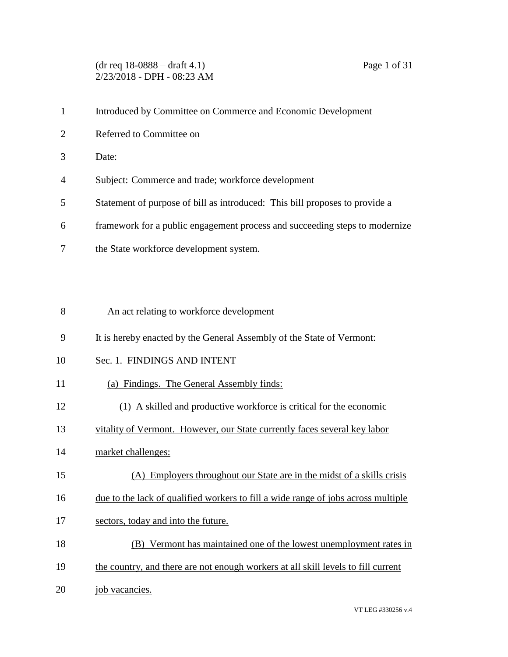(dr req 18-0888 – draft 4.1) Page 1 of 31 2/23/2018 - DPH - 08:23 AM

|                | Introduced by Committee on Commerce and Economic Development                |
|----------------|-----------------------------------------------------------------------------|
| 2              | Referred to Committee on                                                    |
| 3              | Date:                                                                       |
| $\overline{4}$ | Subject: Commerce and trade; workforce development                          |
| 5              | Statement of purpose of bill as introduced: This bill proposes to provide a |
| 6              | framework for a public engagement process and succeeding steps to modernize |
|                | the State workforce development system.                                     |

- An act relating to workforce development
- It is hereby enacted by the General Assembly of the State of Vermont:
- Sec. 1. FINDINGS AND INTENT
- (a) Findings. The General Assembly finds:
- (1) A skilled and productive workforce is critical for the economic
- vitality of Vermont. However, our State currently faces several key labor
- market challenges:
- (A) Employers throughout our State are in the midst of a skills crisis
- due to the lack of qualified workers to fill a wide range of jobs across multiple
- 17 sectors, today and into the future.
- (B) Vermont has maintained one of the lowest unemployment rates in
- the country, and there are not enough workers at all skill levels to fill current
- 20 job vacancies.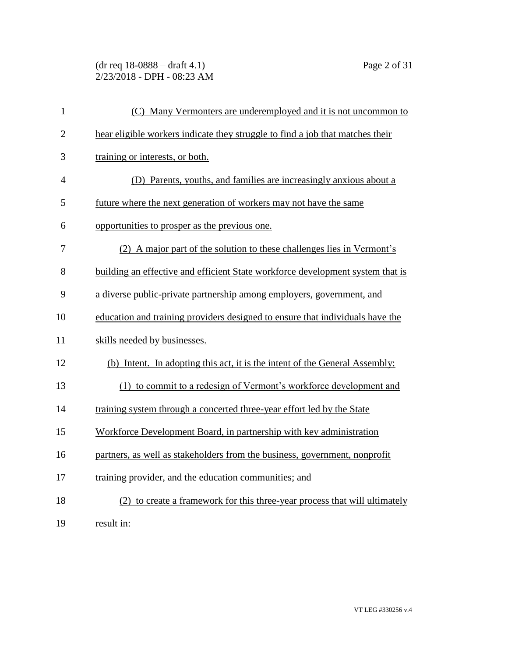(dr req 18-0888 – draft 4.1) Page 2 of 31 2/23/2018 - DPH - 08:23 AM

| $\mathbf{1}$   | (C) Many Vermonters are underemployed and it is not uncommon to                |
|----------------|--------------------------------------------------------------------------------|
| $\overline{2}$ | hear eligible workers indicate they struggle to find a job that matches their  |
| 3              | training or interests, or both.                                                |
| $\overline{4}$ | (D) Parents, youths, and families are increasingly anxious about a             |
| 5              | future where the next generation of workers may not have the same              |
| 6              | opportunities to prosper as the previous one.                                  |
| 7              | (2) A major part of the solution to these challenges lies in Vermont's         |
| 8              | building an effective and efficient State workforce development system that is |
| 9              | a diverse public-private partnership among employers, government, and          |
| 10             | education and training providers designed to ensure that individuals have the  |
| 11             | skills needed by businesses.                                                   |
| 12             | (b) Intent. In adopting this act, it is the intent of the General Assembly:    |
| 13             | (1) to commit to a redesign of Vermont's workforce development and             |
| 14             | training system through a concerted three-year effort led by the State         |
| 15             | Workforce Development Board, in partnership with key administration            |
| 16             | partners, as well as stakeholders from the business, government, nonprofit     |
| 17             | training provider, and the education communities; and                          |
| 18             | (2) to create a framework for this three-year process that will ultimately     |
| 19             | result in:                                                                     |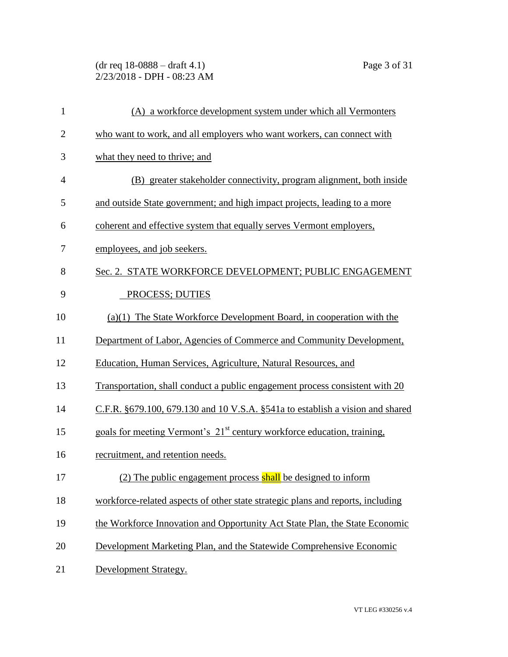(dr req 18-0888 – draft 4.1) Page 3 of 31 2/23/2018 - DPH - 08:23 AM

| $\mathbf{1}$   | (A) a workforce development system under which all Vermonters                       |
|----------------|-------------------------------------------------------------------------------------|
| $\overline{2}$ | who want to work, and all employers who want workers, can connect with              |
| 3              | what they need to thrive; and                                                       |
| $\overline{4}$ | (B) greater stakeholder connectivity, program alignment, both inside                |
| 5              | and outside State government; and high impact projects, leading to a more           |
| 6              | coherent and effective system that equally serves Vermont employers,                |
| 7              | employees, and job seekers.                                                         |
| 8              | Sec. 2. STATE WORKFORCE DEVELOPMENT; PUBLIC ENGAGEMENT                              |
| 9              | PROCESS; DUTIES                                                                     |
| 10             | $(a)(1)$ The State Workforce Development Board, in cooperation with the             |
| 11             | Department of Labor, Agencies of Commerce and Community Development,                |
| 12             | Education, Human Services, Agriculture, Natural Resources, and                      |
| 13             | Transportation, shall conduct a public engagement process consistent with 20        |
| 14             | C.F.R. §679.100, 679.130 and 10 V.S.A. §541a to establish a vision and shared       |
| 15             | goals for meeting Vermont's 21 <sup>st</sup> century workforce education, training, |
| 16             | recruitment, and retention needs.                                                   |
| 17             | (2) The public engagement process shall be designed to inform                       |
| 18             | workforce-related aspects of other state strategic plans and reports, including     |
| 19             | the Workforce Innovation and Opportunity Act State Plan, the State Economic         |
| 20             | Development Marketing Plan, and the Statewide Comprehensive Economic                |
| 21             | Development Strategy.                                                               |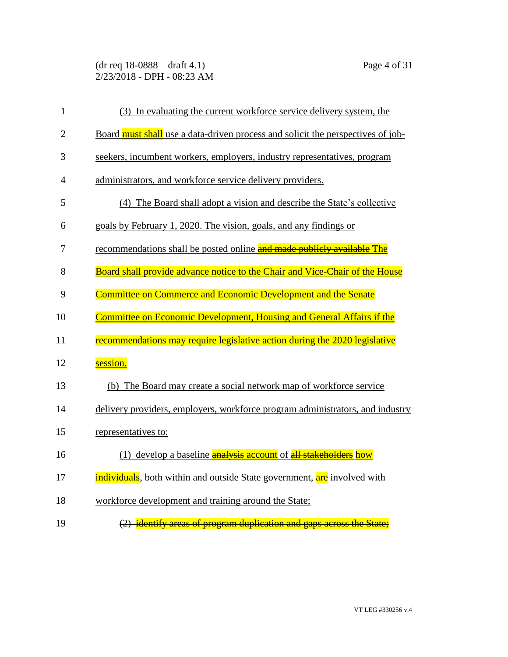(dr req 18-0888 – draft 4.1) Page 4 of 31 2/23/2018 - DPH - 08:23 AM

| $\mathbf{1}$   | (3) In evaluating the current workforce service delivery system, the            |
|----------------|---------------------------------------------------------------------------------|
| $\overline{2}$ | Board must shall use a data-driven process and solicit the perspectives of job- |
| 3              | seekers, incumbent workers, employers, industry representatives, program        |
| $\overline{4}$ | administrators, and workforce service delivery providers.                       |
| 5              | (4) The Board shall adopt a vision and describe the State's collective          |
| 6              | goals by February 1, 2020. The vision, goals, and any findings or               |
| 7              | recommendations shall be posted online and made publicly available The          |
| 8              | Board shall provide advance notice to the Chair and Vice-Chair of the House     |
| 9              | Committee on Commerce and Economic Development and the Senate                   |
| 10             | <b>Committee on Economic Development, Housing and General Affairs if the</b>    |
| 11             | recommendations may require legislative action during the 2020 legislative      |
| 12             | session.                                                                        |
| 13             | (b) The Board may create a social network map of workforce service              |
| 14             | delivery providers, employers, workforce program administrators, and industry   |
| 15             | representatives to:                                                             |
| 16             | (1) develop a baseline <b>analysis account</b> of all stakeholders how          |
| 17             | individuals, both within and outside State government, are involved with        |
| 18             | workforce development and training around the State;                            |
| 19             | (2) identify areas of program duplication and gaps across the State:            |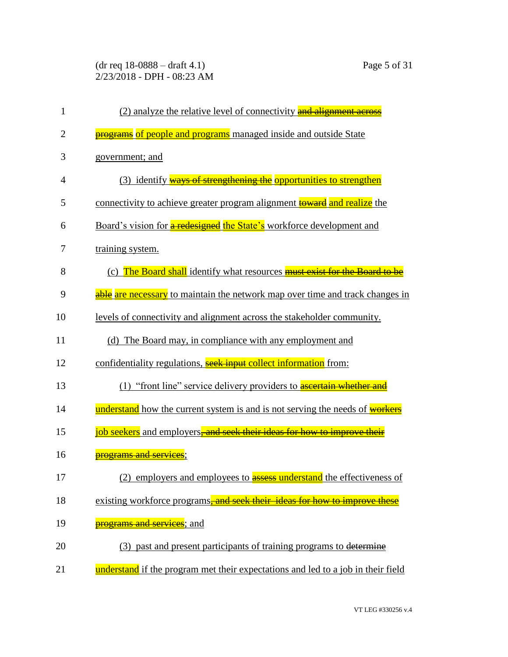(dr req 18-0888 – draft 4.1) Page 5 of 31 2/23/2018 - DPH - 08:23 AM

| $\mathbf{1}$   | (2) analyze the relative level of connectivity and alignment across               |
|----------------|-----------------------------------------------------------------------------------|
| $\overline{2}$ | <b>programs</b> of people and programs managed inside and outside State           |
| 3              | government; and                                                                   |
| $\overline{4}$ | (3) identify ways of strengthening the opportunities to strengthen                |
| 5              | connectivity to achieve greater program alignment toward and realize the          |
| 6              | Board's vision for a redesigned the State's workforce development and             |
| 7              | training system.                                                                  |
| 8              | (c) The Board shall identify what resources <b>must exist for the Board to be</b> |
| 9              | able are necessary to maintain the network map over time and track changes in     |
| 10             | levels of connectivity and alignment across the stakeholder community.            |
| 11             | (d) The Board may, in compliance with any employment and                          |
| 12             | confidentiality regulations, seek input collect information from:                 |
| 13             | (1) "front line" service delivery providers to <b>ascertain whether and</b>       |
| 14             | understand how the current system is and is not serving the needs of workers      |
| 15             | job seekers and employers, and seek their ideas for how to improve their          |
| 16             | <del>programs and services</del> ;                                                |
| 17             | (2) employers and employees to <b>assess understand</b> the effectiveness of      |
| 18             | existing workforce programs-and seek their ideas for how to improve these         |
| 19             | <del>programs and services</del> ; and                                            |
| 20             | (3) past and present participants of training programs to determine               |
| 21             | understand if the program met their expectations and led to a job in their field  |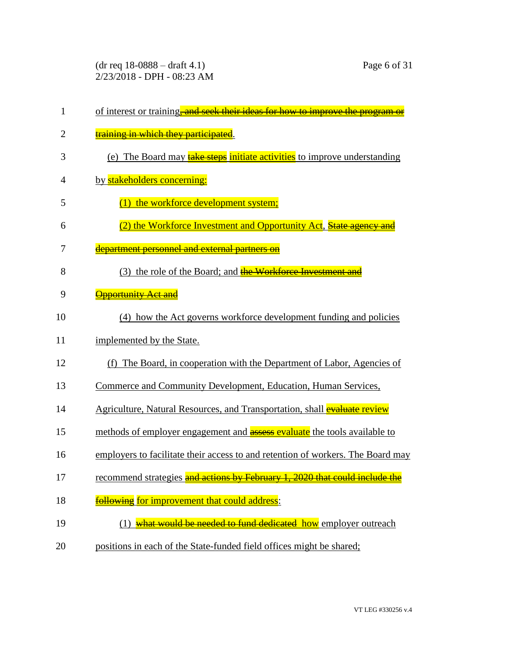(dr req 18-0888 – draft 4.1) Page 6 of 31 2/23/2018 - DPH - 08:23 AM

| $\mathbf{1}$   | of interest or training, and seek their ideas for how to improve the program or  |
|----------------|----------------------------------------------------------------------------------|
| $\overline{2}$ | training in which they participated.                                             |
| 3              | (e) The Board may <b>take steps initiate activities</b> to improve understanding |
| 4              | by stakeholders concerning:                                                      |
| 5              | the workforce development system;                                                |
| 6              | (2) the Workforce Investment and Opportunity Act, State agency and               |
| 7              | department personnel and external partners on                                    |
| 8              | (3) the role of the Board; and the Workforce Investment and                      |
| 9              | <b>Opportunity Act and</b>                                                       |
| 10             | (4) how the Act governs workforce development funding and policies               |
| 11             | implemented by the State.                                                        |
| 12             | (f) The Board, in cooperation with the Department of Labor, Agencies of          |
| 13             | Commerce and Community Development, Education, Human Services,                   |
| 14             | Agriculture, Natural Resources, and Transportation, shall evaluate review        |
| 15             | methods of employer engagement and <b>assess evaluate</b> the tools available to |
| 16             | employers to facilitate their access to and retention of workers. The Board may  |
| 17             | recommend strategies and actions by February 1, 2020 that could include the      |
| 18             | following for improvement that could address:                                    |
| 19             | (1) what would be needed to fund dedicated how employer outreach                 |
| 20             | positions in each of the State-funded field offices might be shared;             |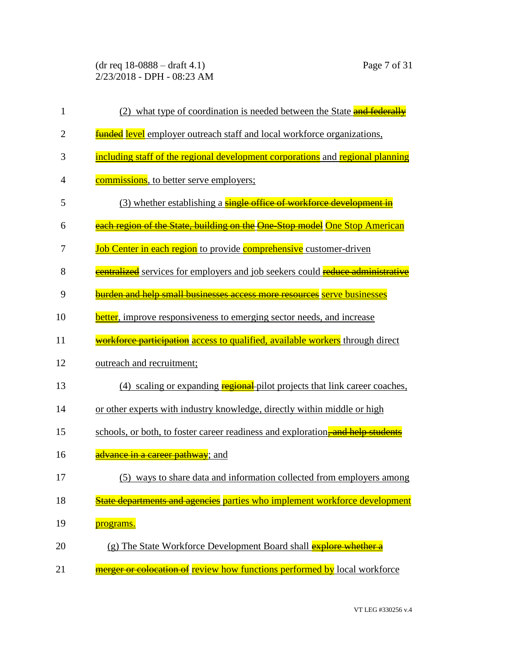(dr req 18-0888 – draft 4.1) Page 7 of 31 2/23/2018 - DPH - 08:23 AM

1 (2) what type of coordination is needed between the State and federally 2 **funded level** employer outreach staff and local workforce organizations, 3 including staff of the regional development corporations and regional planning 4 commissions, to better serve employers; 5 (3) whether establishing a **single office of workforce development in** 6 each region of the State, building on the One-Stop model One Stop American 7 Job Center in each region to provide comprehensive customer-driven 8 **centralized** services for employers and job seekers could reduce administrative 9 burden and help small businesses access more resources serve businesses 10 better, improve responsiveness to emerging sector needs, and increase 11 workforce participation access to qualified, available workers through direct 12 outreach and recruitment; 13 (4) scaling or expanding regional pilot projects that link career coaches, 14 or other experts with industry knowledge, directly within middle or high 15 schools, or both, to foster career readiness and exploration. And help students 16 **advance in a career pathway**; and 17 (5) ways to share data and information collected from employers among 18 State departments and agencies parties who implement workforce development 19 **programs.** 20 (g) The State Workforce Development Board shall **explore whether a** 21 merger or colocation of review how functions performed by local workforce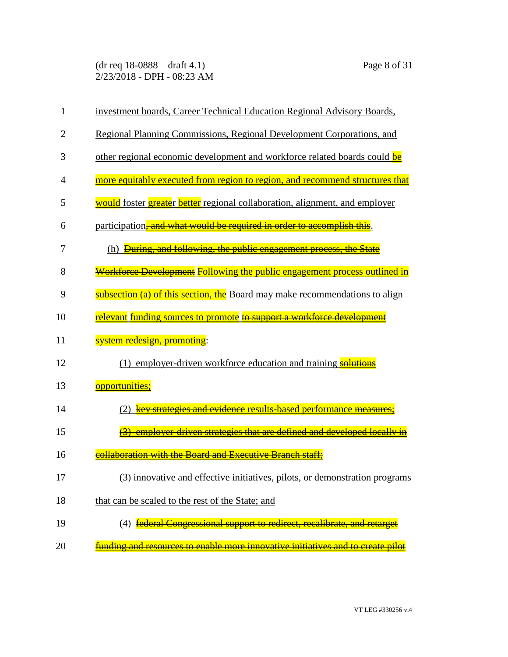(dr req 18-0888 – draft 4.1) Page 8 of 31 2/23/2018 - DPH - 08:23 AM

| $\mathbf{1}$   | investment boards, Career Technical Education Regional Advisory Boards,             |
|----------------|-------------------------------------------------------------------------------------|
| $\overline{2}$ | Regional Planning Commissions, Regional Development Corporations, and               |
| 3              | other regional economic development and workforce related boards could be           |
| $\overline{4}$ | more equitably executed from region to region, and recommend structures that        |
| 5              | would foster <b>greate</b> r better regional collaboration, alignment, and employer |
| 6              | participation, and what would be required in order to accomplish this.              |
| 7              | During, and following, the public engagement process, the State<br>(h)              |
| 8              | Workforce Development Following the public engagement process outlined in           |
| 9              | subsection (a) of this section, the Board may make recommendations to align         |
| 10             | relevant funding sources to promote to support a workforce development              |
| 11             | <u>system redesign, promoting</u> :                                                 |
| 12             | (1) employer-driven workforce education and training solutions                      |
| 13             | opportunities;                                                                      |
| 14             | key strategies and evidence results-based performance measures;                     |
| 15             | <del>(3) employer-driven strategies that are defined and developed locally in</del> |
| 16             | collaboration with the Board and Executive Branch staff;                            |
| 17             | (3) innovative and effective initiatives, pilots, or demonstration programs         |
| 18             | that can be scaled to the rest of the State; and                                    |
| 19             | federal Congressional support to redirect, recalibrate, and retarget                |
| 20             | funding and resources to enable more innovative initiatives and to create pilot     |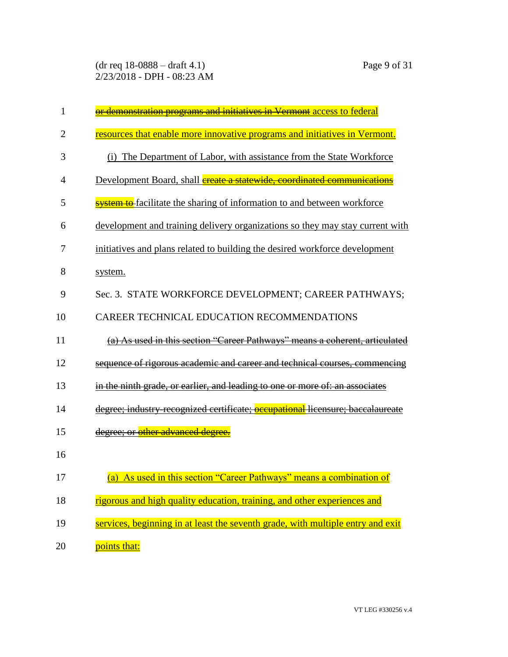(dr req 18-0888 – draft 4.1) Page 9 of 31 2/23/2018 - DPH - 08:23 AM

| $\mathbf{1}$   | or demonstration programs and initiatives in Vermont access to federal                |
|----------------|---------------------------------------------------------------------------------------|
| $\overline{2}$ | resources that enable more innovative programs and initiatives in Vermont.            |
| 3              | (i) The Department of Labor, with assistance from the State Workforce                 |
| $\overline{4}$ | Development Board, shall <b>ereate a statewide</b> , coordinated communications       |
| 5              | <b>system to</b> facilitate the sharing of information to and between workforce       |
| 6              | development and training delivery organizations so they may stay current with         |
| 7              | initiatives and plans related to building the desired workforce development           |
| 8              | system.                                                                               |
| 9              | Sec. 3. STATE WORKFORCE DEVELOPMENT; CAREER PATHWAYS;                                 |
| 10             | CAREER TECHNICAL EDUCATION RECOMMENDATIONS                                            |
| 11             | As used in this section "Career Pathways" means a coherent, articulated               |
| 12             | sequence of rigorous academic and career and technical courses, commencing            |
| 13             | in the ninth grade, or earlier, and leading to one or more of: an associates          |
| 14             | degree; industry-recognized certificate; <b>occupational</b> licensure; baccalaureate |
| 15             | degree; or other advanced degree.                                                     |
| 16             |                                                                                       |
| 17             | (a) As used in this section "Career Pathways" means a combination of                  |
| 18             | rigorous and high quality education, training, and other experiences and              |
| 19             | services, beginning in at least the seventh grade, with multiple entry and exit       |
| 20             | points that:                                                                          |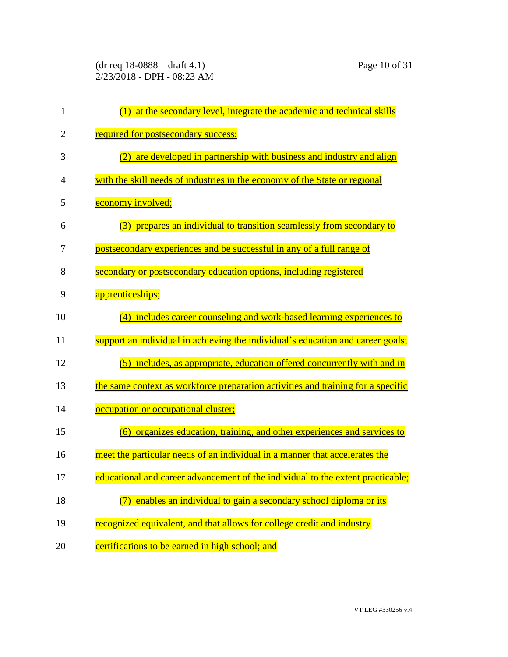(dr req 18-0888 – draft 4.1) Page 10 of 31 2/23/2018 - DPH - 08:23 AM

| $\mathbf{1}$   | (1) at the secondary level, integrate the academic and technical skills          |
|----------------|----------------------------------------------------------------------------------|
| $\overline{2}$ | required for postsecondary success;                                              |
| 3              | are developed in partnership with business and industry and align<br>(2)         |
| 4              | with the skill needs of industries in the economy of the State or regional       |
| 5              | economy involved;                                                                |
| 6              | prepares an individual to transition seamlessly from secondary to<br>(3)         |
| 7              | postsecondary experiences and be successful in any of a full range of            |
| 8              | secondary or postsecondary education options, including registered               |
| 9              | apprenticeships;                                                                 |
| 10             | (4) includes career counseling and work-based learning experiences to            |
| 11             | support an individual in achieving the individual's education and career goals;  |
| 12             | (5) includes, as appropriate, education offered concurrently with and in         |
| 13             | the same context as workforce preparation activities and training for a specific |
| 14             | occupation or occupational cluster;                                              |
| 15             | (6) organizes education, training, and other experiences and services to         |
| 16             | meet the particular needs of an individual in a manner that accelerates the      |
| 17             | educational and career advancement of the individual to the extent practicable;  |
| 18             | enables an individual to gain a secondary school diploma or its                  |
| 19             | recognized equivalent, and that allows for college credit and industry           |
| 20             | certifications to be earned in high school; and                                  |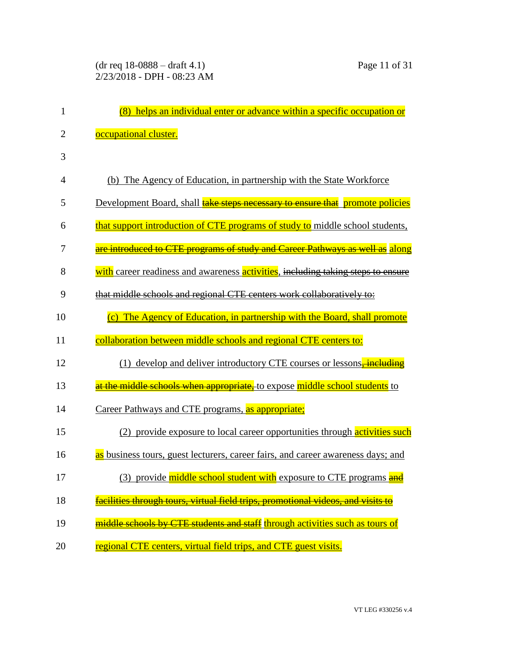| 1              | (8) helps an individual enter or advance within a specific occupation or             |
|----------------|--------------------------------------------------------------------------------------|
| $\overline{2}$ | occupational cluster.                                                                |
| 3              |                                                                                      |
| $\overline{4}$ | (b) The Agency of Education, in partnership with the State Workforce                 |
| 5              | Development Board, shall <b>take steps necessary to ensure that</b> promote policies |
| 6              | that support introduction of CTE programs of study to middle school students,        |
| 7              | are introduced to CTE programs of study and Career Pathways as well as along         |
| 8              | with career readiness and awareness activities, including taking steps to ensure     |
| 9              | that middle schools and regional CTE centers work collaboratively to:                |
| 10             | (c) The Agency of Education, in partnership with the Board, shall promote            |
| 11             | collaboration between middle schools and regional CTE centers to:                    |
| 12             | (1) develop and deliver introductory CTE courses or lessons <del>, including</del>   |
| 13             | at the middle schools when appropriate, to expose middle school students to          |
| 14             | Career Pathways and CTE programs, as appropriate;                                    |
| 15             | (2) provide exposure to local career opportunities through activities such           |
| 16             | as business tours, guest lecturers, career fairs, and career awareness days; and     |
| 17             | (3) provide middle school student with exposure to CTE programs and                  |
| 18             | facilities through tours, virtual field trips, promotional videos, and visits to     |
| 19             | middle schools by CTE students and staff through activities such as tours of         |
| 20             | regional CTE centers, virtual field trips, and CTE guest visits.                     |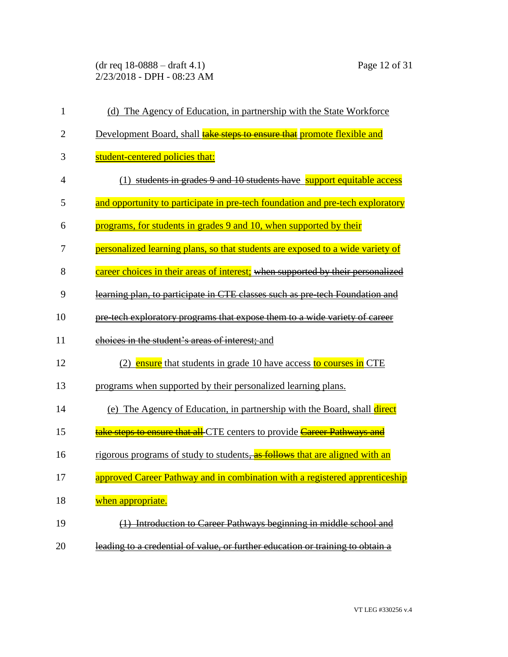(dr req 18-0888 – draft 4.1) Page 12 of 31 2/23/2018 - DPH - 08:23 AM

| $\mathbf{1}$   | (d) The Agency of Education, in partnership with the State Workforce            |
|----------------|---------------------------------------------------------------------------------|
| $\overline{2}$ | Development Board, shall <b>take steps to ensure that</b> promote flexible and  |
| 3              | student-centered policies that:                                                 |
| $\overline{4}$ | (1) students in grades 9 and 10 students have support equitable access          |
| 5              | and opportunity to participate in pre-tech foundation and pre-tech exploratory  |
| 6              | programs, for students in grades 9 and 10, when supported by their              |
| 7              | personalized learning plans, so that students are exposed to a wide variety of  |
| 8              | career choices in their areas of interest; when supported by their personalized |
| 9              | learning plan, to participate in CTE classes such as pre-tech Foundation and    |
| 10             | pre-tech exploratory programs that expose them to a wide variety of career      |
| 11             | choices in the student's areas of interest; and                                 |
| 12             | (2) ensure that students in grade 10 have access to courses in CTE              |
| 13             | programs when supported by their personalized learning plans.                   |
| 14             | (e) The Agency of Education, in partnership with the Board, shall direct        |
| 15             | take steps to ensure that all-CTE centers to provide Career Pathways and        |
| 16             | rigorous programs of study to students, as follows that are aligned with an     |
| 17             | approved Career Pathway and in combination with a registered apprenticeship     |
| 18             | when appropriate.                                                               |
| 19             | Introduction to Career Pathways beginning in middle school and                  |
| 20             | leading to a credential of value, or further education or training to obtain a  |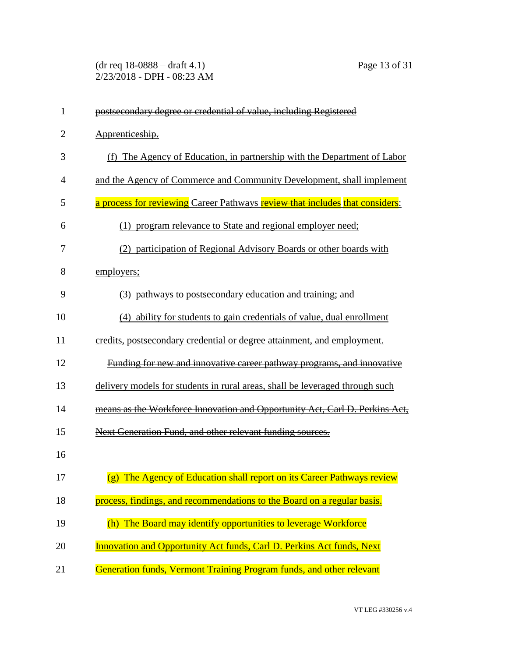(dr req 18-0888 – draft 4.1) Page 13 of 31 2/23/2018 - DPH - 08:23 AM

| 1              | postsecondary degree or credential of value, including Registered            |
|----------------|------------------------------------------------------------------------------|
| $\overline{2}$ | Apprenticeship.                                                              |
| 3              | (f) The Agency of Education, in partnership with the Department of Labor     |
| 4              | and the Agency of Commerce and Community Development, shall implement        |
| 5              | a process for reviewing Career Pathways review that includes that considers: |
| 6              | (1) program relevance to State and regional employer need;                   |
| 7              | (2) participation of Regional Advisory Boards or other boards with           |
| 8              | employers;                                                                   |
| 9              | (3) pathways to postsecondary education and training; and                    |
| 10             | (4) ability for students to gain credentials of value, dual enrollment       |
| 11             | credits, postsecondary credential or degree attainment, and employment.      |
| 12             | Funding for new and innovative career pathway programs, and innovative       |
| 13             | delivery models for students in rural areas, shall be leveraged through such |
| 14             | means as the Workforce Innovation and Opportunity Act, Carl D. Perkins Act,  |
| 15             | Next Generation Fund, and other relevant funding sources.                    |
| 16             |                                                                              |
| 17             | (g) The Agency of Education shall report on its Career Pathways review       |
| 18             | process, findings, and recommendations to the Board on a regular basis.      |
| 19             | (h) The Board may identify opportunities to leverage Workforce               |
| 20             | <b>Innovation and Opportunity Act funds, Carl D. Perkins Act funds, Next</b> |
| 21             | Generation funds, Vermont Training Program funds, and other relevant         |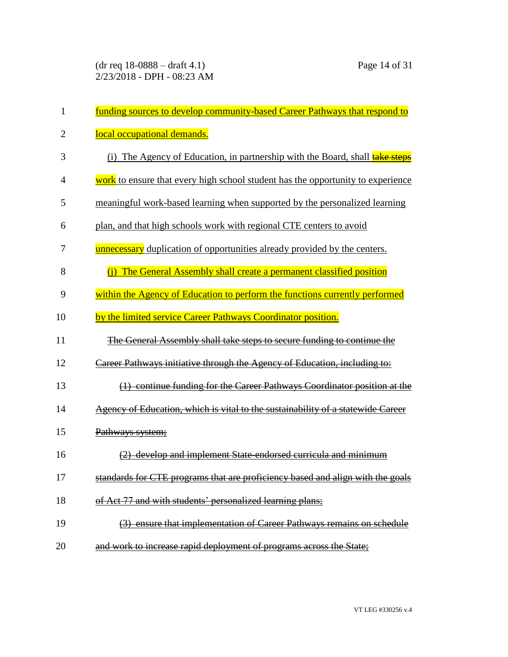| 1              | funding sources to develop community-based Career Pathways that respond to          |
|----------------|-------------------------------------------------------------------------------------|
| $\overline{2}$ | local occupational demands.                                                         |
| 3              | (i) The Agency of Education, in partnership with the Board, shall <b>take steps</b> |
| $\overline{4}$ | work to ensure that every high school student has the opportunity to experience     |
| 5              | meaningful work-based learning when supported by the personalized learning          |
| 6              | plan, and that high schools work with regional CTE centers to avoid                 |
| 7              | <b>unnecessary</b> duplication of opportunities already provided by the centers.    |
| 8              | The General Assembly shall create a permanent classified position<br>(i)            |
| 9              | within the Agency of Education to perform the functions currently performed         |
| 10             | by the limited service Career Pathways Coordinator position.                        |
| 11             | The General Assembly shall take steps to secure funding to continue the             |
| 12             | Career Pathways initiative through the Agency of Education, including to:           |
| 13             | (1) continue funding for the Career Pathways Coordinator position at the            |
| 14             | Agency of Education, which is vital to the sustainability of a statewide Career     |
| 15             | Pathways system;                                                                    |
| 16             | develop and implement State endorsed curricula and minimum                          |
| 17             | standards for CTE programs that are proficiency based and align with the goals      |
| 18             | of Act 77 and with students' personalized learning plans;                           |
| 19             | (3) ensure that implementation of Career Pathways remains on schedule               |
| 20             | and work to increase rapid deployment of programs across the State;                 |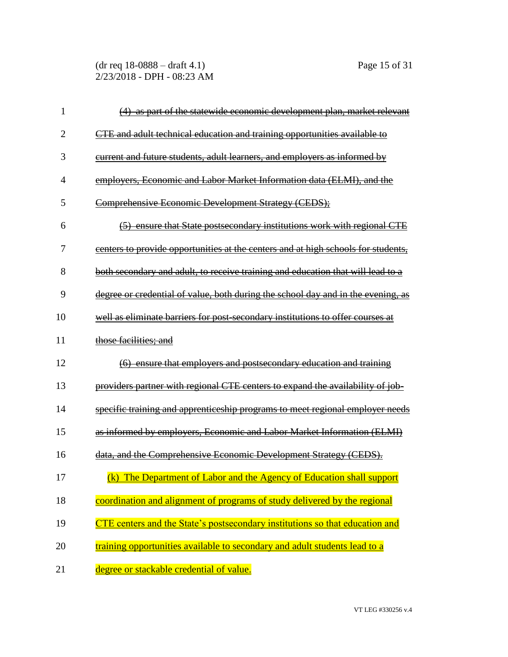(dr req 18-0888 – draft 4.1) Page 15 of 31 2/23/2018 - DPH - 08:23 AM

| 1              | as part of the statewide economic development plan, market relevant               |
|----------------|-----------------------------------------------------------------------------------|
| $\overline{2}$ | CTE and adult technical education and training opportunities available to         |
| 3              | current and future students, adult learners, and employers as informed by         |
| 4              | employers, Economic and Labor Market Information data (ELMI), and the             |
| 5              | Comprehensive Economic Development Strategy (CEDS);                               |
| 6              | (5) ensure that State postsecondary institutions work with regional CTE           |
| 7              | centers to provide opportunities at the centers and at high schools for students, |
| 8              | both secondary and adult, to receive training and education that will lead to a   |
| 9              | degree or credential of value, both during the school day and in the evening, as  |
| 10             | well as eliminate barriers for post-secondary institutions to offer courses at    |
| 11             | those facilities; and                                                             |
| 12             | (6) ensure that employers and postsecondary education and training                |
| 13             | providers partner with regional CTE centers to expand the availability of job-    |
| 14             | specific training and apprenticeship programs to meet regional employer needs     |
| 15             | as informed by employers, Economic and Labor Market Information (ELMI)            |
| 16             | data, and the Comprehensive Economic Development Strategy (CEDS).                 |
| 17             | (k) The Department of Labor and the Agency of Education shall support             |
| 18             | coordination and alignment of programs of study delivered by the regional         |
| 19             | CTE centers and the State's postsecondary institutions so that education and      |
| 20             | training opportunities available to secondary and adult students lead to a        |
| 21             | degree or stackable credential of value.                                          |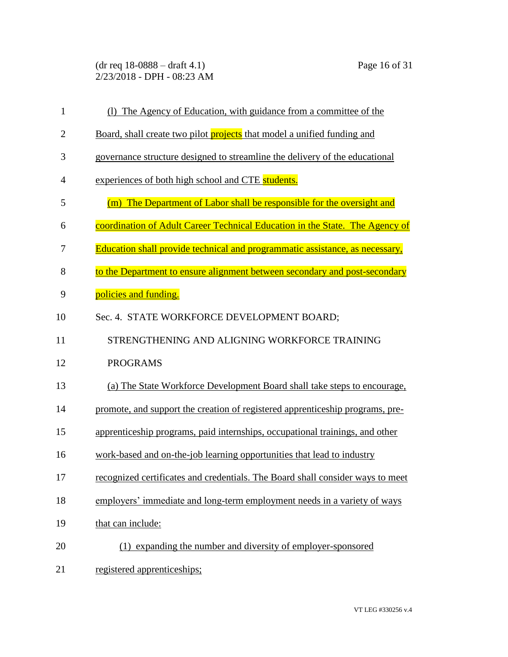(dr req 18-0888 – draft 4.1) Page 16 of 31 2/23/2018 - DPH - 08:23 AM

| $\mathbf{1}$   | (1) The Agency of Education, with guidance from a committee of the             |
|----------------|--------------------------------------------------------------------------------|
| $\overline{2}$ | Board, shall create two pilot projects that model a unified funding and        |
| 3              | governance structure designed to streamline the delivery of the educational    |
| 4              | experiences of both high school and CTE students.                              |
| 5              | (m) The Department of Labor shall be responsible for the oversight and         |
| 6              | coordination of Adult Career Technical Education in the State. The Agency of   |
| 7              | Education shall provide technical and programmatic assistance, as necessary,   |
| 8              | to the Department to ensure alignment between secondary and post-secondary     |
| 9              | policies and funding.                                                          |
| 10             | Sec. 4. STATE WORKFORCE DEVELOPMENT BOARD;                                     |
| 11             | STRENGTHENING AND ALIGNING WORKFORCE TRAINING                                  |
| 12             | <b>PROGRAMS</b>                                                                |
| 13             | (a) The State Workforce Development Board shall take steps to encourage,       |
| 14             | promote, and support the creation of registered apprenticeship programs, pre-  |
| 15             | apprenticeship programs, paid internships, occupational trainings, and other   |
| 16             | work-based and on-the-job learning opportunities that lead to industry         |
| 17             | recognized certificates and credentials. The Board shall consider ways to meet |
| 18             | employers' immediate and long-term employment needs in a variety of ways       |
| 19             | that can include:                                                              |
| 20             | (1) expanding the number and diversity of employer-sponsored                   |
| 21             | registered apprenticeships;                                                    |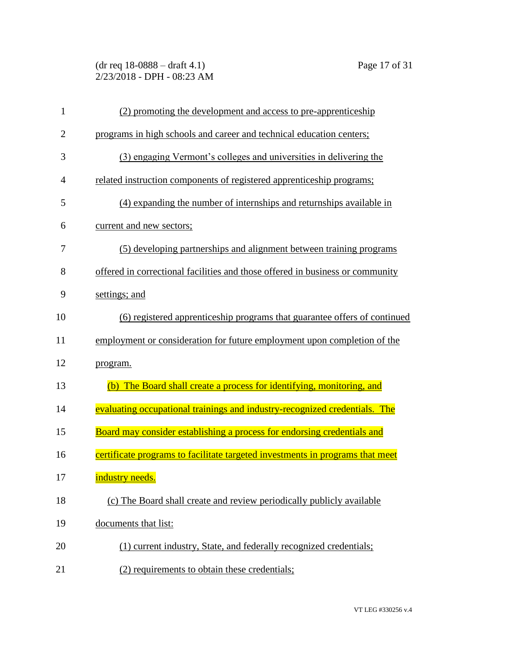(dr req 18-0888 – draft 4.1) Page 17 of 31 2/23/2018 - DPH - 08:23 AM

| $\mathbf{1}$   | (2) promoting the development and access to pre-apprenticeship                |
|----------------|-------------------------------------------------------------------------------|
| $\overline{2}$ | programs in high schools and career and technical education centers;          |
| 3              | (3) engaging Vermont's colleges and universities in delivering the            |
| 4              | related instruction components of registered apprenticeship programs;         |
| 5              | (4) expanding the number of internships and returnships available in          |
| 6              | current and new sectors;                                                      |
| 7              | (5) developing partnerships and alignment between training programs           |
| 8              | offered in correctional facilities and those offered in business or community |
| 9              | settings; and                                                                 |
| 10             | (6) registered apprenticeship programs that guarantee offers of continued     |
| 11             | employment or consideration for future employment upon completion of the      |
| 12             | program.                                                                      |
| 13             | The Board shall create a process for identifying, monitoring, and<br>(b)      |
| 14             | evaluating occupational trainings and industry-recognized credentials. The    |
| 15             | Board may consider establishing a process for endorsing credentials and       |
| 16             | certificate programs to facilitate targeted investments in programs that meet |
| 17             | industry needs.                                                               |
| 18             | (c) The Board shall create and review periodically publicly available         |
| 19             | documents that list:                                                          |
| 20             | (1) current industry, State, and federally recognized credentials;            |
| 21             | (2) requirements to obtain these credentials;                                 |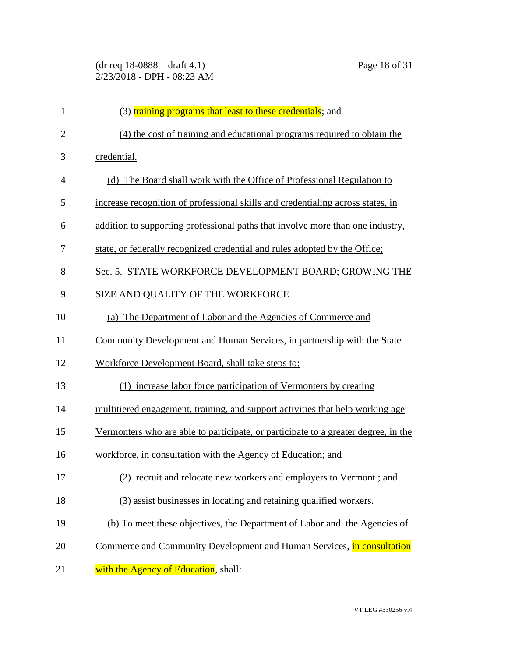| $\mathbf{1}$   | (3) training programs that least to these credentials; and                         |
|----------------|------------------------------------------------------------------------------------|
| $\overline{2}$ | (4) the cost of training and educational programs required to obtain the           |
| 3              | credential.                                                                        |
| $\overline{4}$ | (d) The Board shall work with the Office of Professional Regulation to             |
| 5              | increase recognition of professional skills and credentialing across states, in    |
| 6              | addition to supporting professional paths that involve more than one industry,     |
| 7              | state, or federally recognized credential and rules adopted by the Office;         |
| 8              | Sec. 5. STATE WORKFORCE DEVELOPMENT BOARD; GROWING THE                             |
| 9              | SIZE AND QUALITY OF THE WORKFORCE                                                  |
| 10             | (a) The Department of Labor and the Agencies of Commerce and                       |
| 11             | Community Development and Human Services, in partnership with the State            |
| 12             | Workforce Development Board, shall take steps to:                                  |
| 13             | (1) increase labor force participation of Vermonters by creating                   |
| 14             | multitiered engagement, training, and support activities that help working age     |
| 15             | Vermonters who are able to participate, or participate to a greater degree, in the |
| 16             | workforce, in consultation with the Agency of Education; and                       |
| 17             | (2) recruit and relocate new workers and employers to Vermont; and                 |
| 18             | (3) assist businesses in locating and retaining qualified workers.                 |
| 19             | (b) To meet these objectives, the Department of Labor and the Agencies of          |
| 20             | Commerce and Community Development and Human Services, in consultation             |
| 21             | with the Agency of Education, shall:                                               |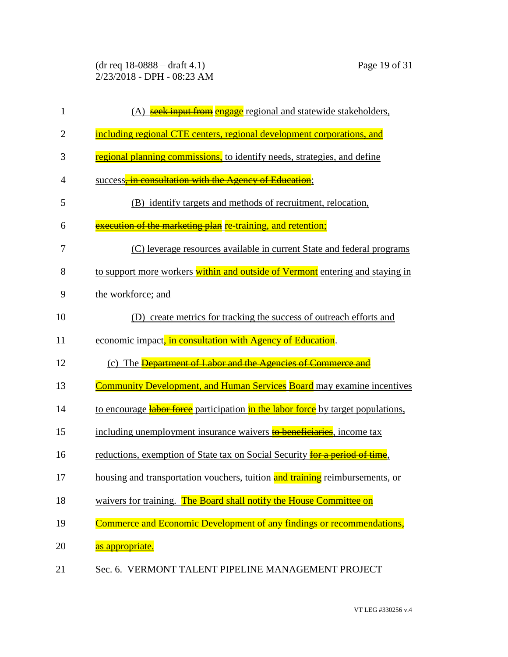(dr req 18-0888 – draft 4.1) Page 19 of 31 2/23/2018 - DPH - 08:23 AM

| 1              | (A) seek input from engage regional and statewide stakeholders,                         |
|----------------|-----------------------------------------------------------------------------------------|
| $\overline{2}$ | including regional CTE centers, regional development corporations, and                  |
| 3              | regional planning commissions, to identify needs, strategies, and define                |
| 4              | success, in consultation with the Agency of Education;                                  |
| 5              | (B) identify targets and methods of recruitment, relocation,                            |
| 6              | execution of the marketing plan re-training, and retention;                             |
| 7              | (C) leverage resources available in current State and federal programs                  |
| 8              | to support more workers within and outside of Vermont entering and staying in           |
| 9              | the workforce; and                                                                      |
| 10             | create metrics for tracking the success of outreach efforts and<br>(D)                  |
| 11             | economic impact, in consultation with Agency of Education.                              |
| 12             | (c) The <b>Department of Labor and the Agencies of Commerce and</b>                     |
| 13             | Community Development, and Human Services Board may examine incentives                  |
| 14             | to encourage <b>labor force</b> participation in the labor force by target populations, |
| 15             | including unemployment insurance waivers to beneficiaries, income tax                   |
| 16             | reductions, exemption of State tax on Social Security <b>for a period of time</b> ,     |
| 17             | housing and transportation vouchers, tuition and training reimbursements, or            |
| 18             | waivers for training. The Board shall notify the House Committee on                     |
| 19             | Commerce and Economic Development of any findings or recommendations,                   |
| 20             | as appropriate.                                                                         |
| 21             | Sec. 6. VERMONT TALENT PIPELINE MANAGEMENT PROJECT                                      |

VT LEG #330256 v.4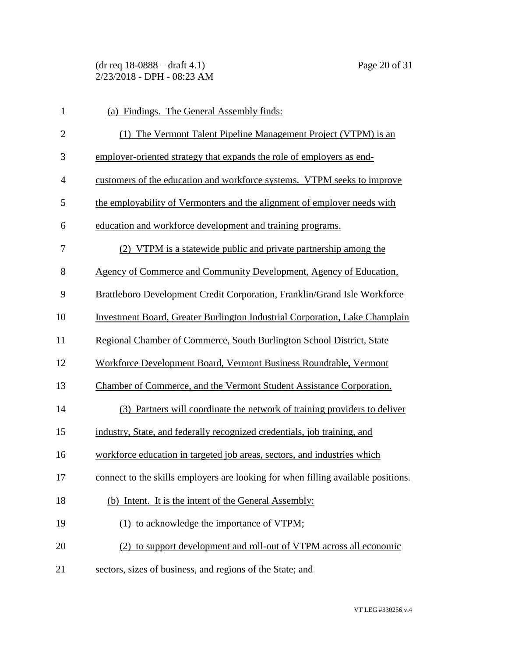(dr req 18-0888 – draft 4.1) Page 20 of 31 2/23/2018 - DPH - 08:23 AM

| $\mathbf{1}$   | (a) Findings. The General Assembly finds:                                          |
|----------------|------------------------------------------------------------------------------------|
| $\mathbf{2}$   | (1) The Vermont Talent Pipeline Management Project (VTPM) is an                    |
| 3              | employer-oriented strategy that expands the role of employers as end-              |
| $\overline{4}$ | customers of the education and workforce systems. VTPM seeks to improve            |
| 5              | the employability of Vermonters and the alignment of employer needs with           |
| 6              | education and workforce development and training programs.                         |
| 7              | (2) VTPM is a statewide public and private partnership among the                   |
| 8              | Agency of Commerce and Community Development, Agency of Education,                 |
| 9              | Brattleboro Development Credit Corporation, Franklin/Grand Isle Workforce          |
| 10             | <b>Investment Board, Greater Burlington Industrial Corporation, Lake Champlain</b> |
| 11             | Regional Chamber of Commerce, South Burlington School District, State              |
| 12             | Workforce Development Board, Vermont Business Roundtable, Vermont                  |
| 13             | Chamber of Commerce, and the Vermont Student Assistance Corporation.               |
| 14             | (3) Partners will coordinate the network of training providers to deliver          |
| 15             | industry, State, and federally recognized credentials, job training, and           |
| 16             | workforce education in targeted job areas, sectors, and industries which           |
| 17             | connect to the skills employers are looking for when filling available positions.  |
| 18             | (b) Intent. It is the intent of the General Assembly:                              |
| 19             | (1) to acknowledge the importance of VTPM;                                         |
| 20             | (2) to support development and roll-out of VTPM across all economic                |
| 21             | sectors, sizes of business, and regions of the State; and                          |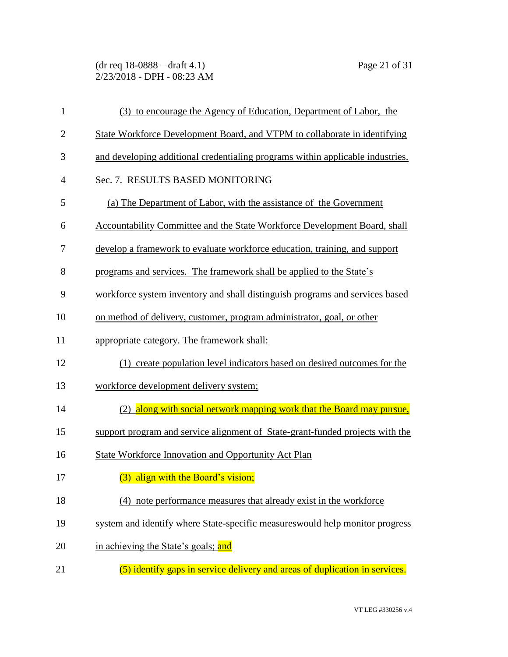(dr req 18-0888 – draft 4.1) Page 21 of 31 2/23/2018 - DPH - 08:23 AM

| $\mathbf{1}$   | (3) to encourage the Agency of Education, Department of Labor, the             |
|----------------|--------------------------------------------------------------------------------|
| $\overline{2}$ | State Workforce Development Board, and VTPM to collaborate in identifying      |
| 3              | and developing additional credentialing programs within applicable industries. |
| $\overline{4}$ | Sec. 7. RESULTS BASED MONITORING                                               |
| 5              | (a) The Department of Labor, with the assistance of the Government             |
| 6              | Accountability Committee and the State Workforce Development Board, shall      |
| 7              | develop a framework to evaluate workforce education, training, and support     |
| 8              | programs and services. The framework shall be applied to the State's           |
| 9              | workforce system inventory and shall distinguish programs and services based   |
| 10             | on method of delivery, customer, program administrator, goal, or other         |
| 11             | appropriate category. The framework shall:                                     |
| 12             | (1) create population level indicators based on desired outcomes for the       |
| 13             | workforce development delivery system;                                         |
| 14             | (2) along with social network mapping work that the Board may pursue,          |
| 15             | support program and service alignment of State-grant-funded projects with the  |
| 16             | State Workforce Innovation and Opportunity Act Plan                            |
| 17             | an an<br>(3) align with the Board's vision;                                    |
| 18             | (4) note performance measures that already exist in the workforce              |
| 19             | system and identify where State-specific measures would help monitor progress  |
| 20             | in achieving the State's goals; and                                            |
| 21             | (5) identify gaps in service delivery and areas of duplication in services.    |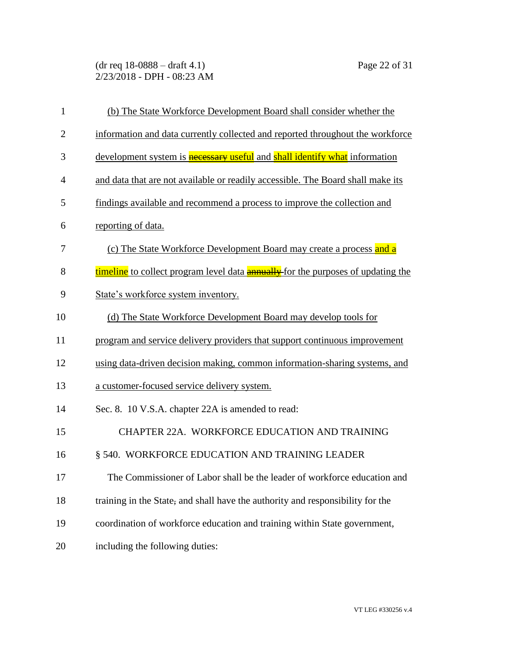(dr req 18-0888 – draft 4.1) Page 22 of 31 2/23/2018 - DPH - 08:23 AM

| $\mathbf{1}$   | (b) The State Workforce Development Board shall consider whether the                    |
|----------------|-----------------------------------------------------------------------------------------|
| $\overline{2}$ | information and data currently collected and reported throughout the workforce          |
| 3              | development system is <b>necessary</b> useful and shall identify what information       |
| $\overline{4}$ | and data that are not available or readily accessible. The Board shall make its         |
| 5              | findings available and recommend a process to improve the collection and                |
| 6              | reporting of data.                                                                      |
| 7              | (c) The State Workforce Development Board may create a process and a                    |
| 8              | timeline to collect program level data <b>annually</b> for the purposes of updating the |
| 9              | State's workforce system inventory.                                                     |
| 10             | (d) The State Workforce Development Board may develop tools for                         |
| 11             | program and service delivery providers that support continuous improvement              |
| 12             | using data-driven decision making, common information-sharing systems, and              |
| 13             | a customer-focused service delivery system.                                             |
| 14             | Sec. 8. 10 V.S.A. chapter 22A is amended to read:                                       |
| 15             | CHAPTER 22A. WORKFORCE EDUCATION AND TRAINING                                           |
| 16             | § 540. WORKFORCE EDUCATION AND TRAINING LEADER                                          |
| 17             | The Commissioner of Labor shall be the leader of workforce education and                |
| 18             | training in the State, and shall have the authority and responsibility for the          |
| 19             | coordination of workforce education and training within State government,               |
| 20             | including the following duties:                                                         |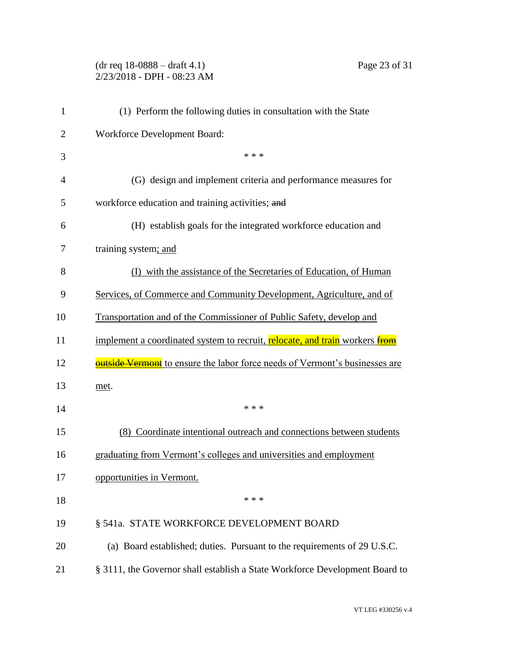(dr req 18-0888 – draft 4.1) Page 23 of 31 2/23/2018 - DPH - 08:23 AM

| $\mathbf{1}$   | (1) Perform the following duties in consultation with the State                    |
|----------------|------------------------------------------------------------------------------------|
| 2              | Workforce Development Board:                                                       |
| 3              | * * *                                                                              |
| $\overline{4}$ | (G) design and implement criteria and performance measures for                     |
| 5              | workforce education and training activities; and                                   |
| 6              | (H) establish goals for the integrated workforce education and                     |
| 7              | training system; and                                                               |
| 8              | (I) with the assistance of the Secretaries of Education, of Human                  |
| 9              | Services, of Commerce and Community Development, Agriculture, and of               |
| 10             | Transportation and of the Commissioner of Public Safety, develop and               |
| 11             | implement a coordinated system to recruit, relocate, and train workers from        |
| 12             | <b>outside Vermont</b> to ensure the labor force needs of Vermont's businesses are |
| 13             | met.                                                                               |
| 14             | * * *                                                                              |
| 15             | (8) Coordinate intentional outreach and connections between students               |
| 16             | graduating from Vermont's colleges and universities and employment                 |
| 17             | opportunities in Vermont.                                                          |
| 18             | * * *                                                                              |
| 19             | § 541a. STATE WORKFORCE DEVELOPMENT BOARD                                          |
| 20             | (a) Board established; duties. Pursuant to the requirements of 29 U.S.C.           |
| 21             | § 3111, the Governor shall establish a State Workforce Development Board to        |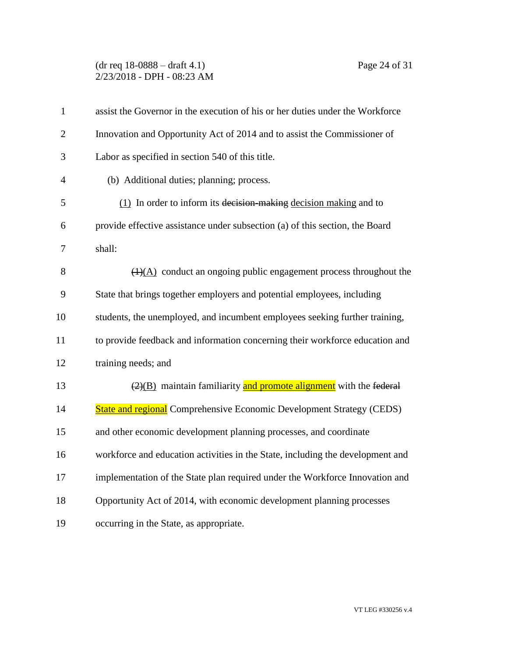## (dr req 18-0888 – draft 4.1) Page 24 of 31 2/23/2018 - DPH - 08:23 AM

| $\mathbf{1}$   | assist the Governor in the execution of his or her duties under the Workforce          |
|----------------|----------------------------------------------------------------------------------------|
| $\overline{2}$ | Innovation and Opportunity Act of 2014 and to assist the Commissioner of               |
| 3              | Labor as specified in section 540 of this title.                                       |
| $\overline{4}$ | (b) Additional duties; planning; process.                                              |
| 5              | (1) In order to inform its decision making decision making and to                      |
| 6              | provide effective assistance under subsection (a) of this section, the Board           |
| 7              | shall:                                                                                 |
| 8              | $(4)(A)$ conduct an ongoing public engagement process throughout the                   |
| 9              | State that brings together employers and potential employees, including                |
| 10             | students, the unemployed, and incumbent employees seeking further training,            |
| 11             | to provide feedback and information concerning their workforce education and           |
| 12             | training needs; and                                                                    |
| 13             | $\left(\frac{2}{2}\right)$ maintain familiarity and promote alignment with the federal |
| 14             | <b>State and regional</b> Comprehensive Economic Development Strategy (CEDS)           |
| 15             | and other economic development planning processes, and coordinate                      |
| 16             | workforce and education activities in the State, including the development and         |
| 17             | implementation of the State plan required under the Workforce Innovation and           |
| 18             | Opportunity Act of 2014, with economic development planning processes                  |
| 19             | occurring in the State, as appropriate.                                                |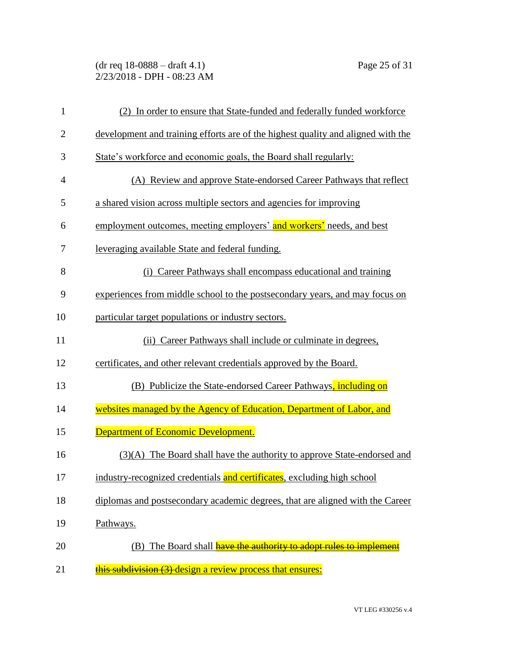(dr req 18-0888 – draft 4.1) Page 25 of 31 2/23/2018 - DPH - 08:23 AM

| $\mathbf{1}$   | (2) In order to ensure that State-funded and federally funded workforce          |
|----------------|----------------------------------------------------------------------------------|
| $\overline{2}$ | development and training efforts are of the highest quality and aligned with the |
| 3              | State's workforce and economic goals, the Board shall regularly:                 |
| $\overline{4}$ | (A) Review and approve State-endorsed Career Pathways that reflect               |
| 5              | a shared vision across multiple sectors and agencies for improving               |
| 6              | employment outcomes, meeting employers' and workers' needs, and best             |
| 7              | leveraging available State and federal funding.                                  |
| 8              | (i) Career Pathways shall encompass educational and training                     |
| 9              | experiences from middle school to the postsecondary years, and may focus on      |
| 10             | particular target populations or industry sectors.                               |
| 11             | (ii) Career Pathways shall include or culminate in degrees,                      |
| 12             | certificates, and other relevant credentials approved by the Board.              |
| 13             | (B) Publicize the State-endorsed Career Pathways, including on                   |
| 14             | websites managed by the Agency of Education, Department of Labor, and            |
| 15             | <b>Department of Economic Development.</b>                                       |
| 16             | (3)(A) The Board shall have the authority to approve State-endorsed and          |
| 17             | industry-recognized credentials and certificates, excluding high school          |
| 18             | diplomas and postsecondary academic degrees, that are aligned with the Career    |
| 19             | Pathways.                                                                        |
| 20             | The Board shall have the authority to adopt rules to implement<br>(B)            |
| 21             | this subdivision (3) design a review process that ensures:                       |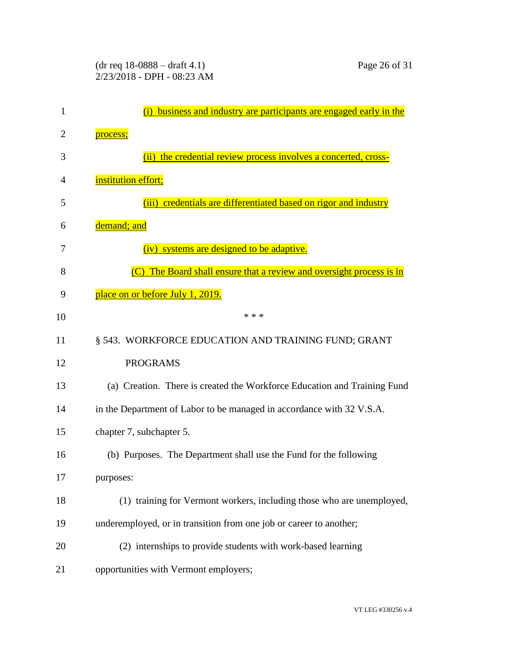| 1  | business and industry are participants are engaged early in the          |
|----|--------------------------------------------------------------------------|
| 2  | process;                                                                 |
| 3  | the credential review process involves a concerted, cross-<br>(i)        |
| 4  | institution effort;                                                      |
| 5  | (iii) credentials are differentiated based on rigor and industry         |
| 6  | demand; and                                                              |
| 7  | (iv) systems are designed to be adaptive.                                |
| 8  | The Board shall ensure that a review and oversight process is in         |
| 9  | place on or before July 1, 2019.                                         |
| 10 | * * *                                                                    |
| 11 | § 543. WORKFORCE EDUCATION AND TRAINING FUND; GRANT                      |
| 12 | <b>PROGRAMS</b>                                                          |
| 13 | (a) Creation. There is created the Workforce Education and Training Fund |
| 14 | in the Department of Labor to be managed in accordance with 32 V.S.A.    |
| 15 | chapter 7, subchapter 5.                                                 |
| 16 | (b) Purposes. The Department shall use the Fund for the following        |
| 17 | purposes:                                                                |
| 18 | (1) training for Vermont workers, including those who are unemployed,    |
| 19 | underemployed, or in transition from one job or career to another;       |
| 20 | (2) internships to provide students with work-based learning             |
| 21 | opportunities with Vermont employers;                                    |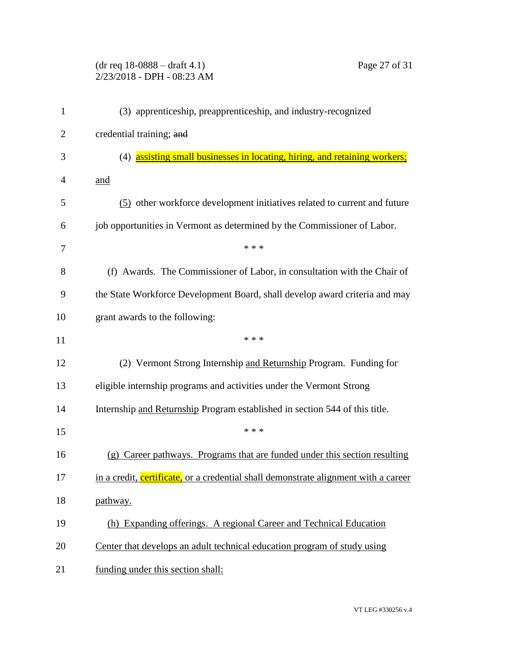|                | Page 27 of 31<br>$(dr \text{ req } 18-0888 - draft 4.1)$<br>2/23/2018 - DPH - 08:23 AM |
|----------------|----------------------------------------------------------------------------------------|
| 1              | (3) apprenticeship, preapprenticeship, and industry-recognized                         |
| $\overline{2}$ | credential training; and                                                               |
| 3              | (4) assisting small businesses in locating, hiring, and retaining workers;             |
| 4              | <u>and</u>                                                                             |
| 5              | (5) other workforce development initiatives related to current and future              |
| 6              | job opportunities in Vermont as determined by the Commissioner of Labor.               |
| 7              | * * *                                                                                  |
| 8              | (f) Awards. The Commissioner of Labor, in consultation with the Chair of               |
| 9              | the State Workforce Development Board, shall develop award criteria and may            |
| 10             | grant awards to the following:                                                         |
| 11             | * * *                                                                                  |
| 12             | (2) Vermont Strong Internship and Returnship Program. Funding for                      |
| 13             | eligible internship programs and activities under the Vermont Strong                   |
| 14             | Internship and Returnship Program established in section 544 of this title.            |
| 15             | * * *                                                                                  |
| 16             | Career pathways. Programs that are funded under this section resulting<br>(g)          |
| 17             | in a credit, certificate, or a credential shall demonstrate alignment with a career    |
| 18             | pathway.                                                                               |
| 19             | (h) Expanding offerings. A regional Career and Technical Education                     |
| 20             | Center that develops an adult technical education program of study using               |
| 21             | funding under this section shall:                                                      |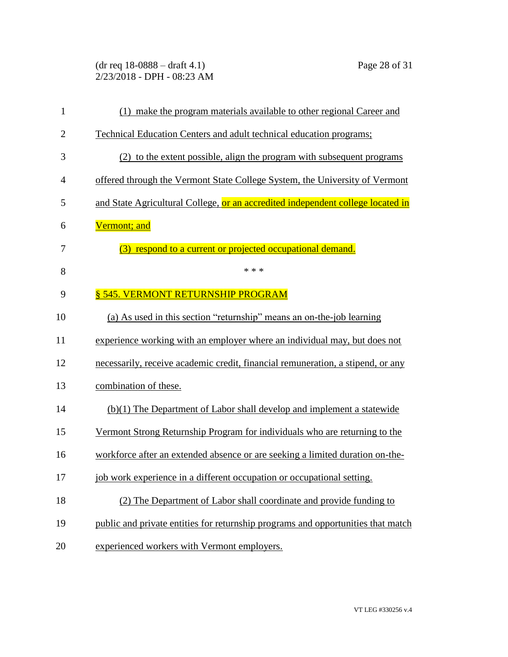(dr req 18-0888 – draft 4.1) Page 28 of 31 2/23/2018 - DPH - 08:23 AM

| $\mathbf{1}$   | (1) make the program materials available to other regional Career and            |
|----------------|----------------------------------------------------------------------------------|
| $\overline{2}$ | Technical Education Centers and adult technical education programs;              |
| 3              | (2) to the extent possible, align the program with subsequent programs           |
| $\overline{4}$ | offered through the Vermont State College System, the University of Vermont      |
| 5              | and State Agricultural College, or an accredited independent college located in  |
| 6              | Vermont; and                                                                     |
| 7              | (3) respond to a current or projected occupational demand.                       |
| 8              | * * *                                                                            |
| 9              | § 545. VERMONT RETURNSHIP PROGRAM                                                |
| 10             | (a) As used in this section "returnship" means an on-the-job learning            |
| 11             | experience working with an employer where an individual may, but does not        |
| 12             | necessarily, receive academic credit, financial remuneration, a stipend, or any  |
| 13             | combination of these.                                                            |
| 14             | (b)(1) The Department of Labor shall develop and implement a statewide           |
| 15             | Vermont Strong Returnship Program for individuals who are returning to the       |
| 16             | workforce after an extended absence or are seeking a limited duration on-the-    |
| 17             | job work experience in a different occupation or occupational setting.           |
| 18             | (2) The Department of Labor shall coordinate and provide funding to              |
| 19             | public and private entities for returnship programs and opportunities that match |
| 20             | experienced workers with Vermont employers.                                      |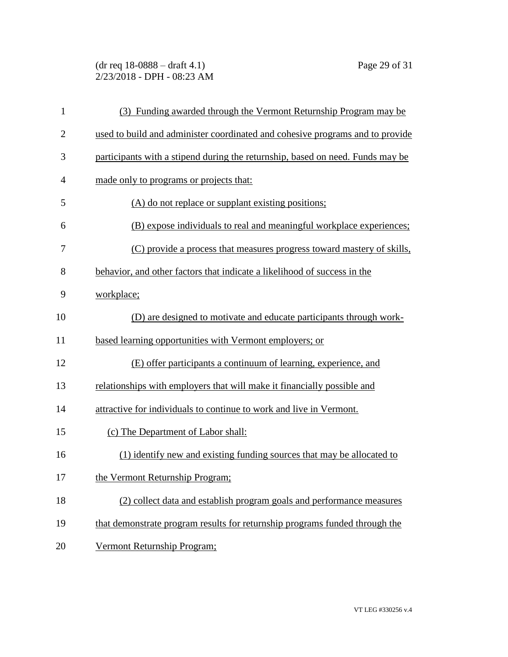(dr req 18-0888 – draft 4.1) Page 29 of 31 2/23/2018 - DPH - 08:23 AM

| $\mathbf{1}$   | (3) Funding awarded through the Vermont Returnship Program may be              |
|----------------|--------------------------------------------------------------------------------|
| $\overline{2}$ | used to build and administer coordinated and cohesive programs and to provide  |
| 3              | participants with a stipend during the returnship, based on need. Funds may be |
| $\overline{4}$ | made only to programs or projects that:                                        |
| 5              | (A) do not replace or supplant existing positions;                             |
| 6              | (B) expose individuals to real and meaningful workplace experiences;           |
| 7              | (C) provide a process that measures progress toward mastery of skills,         |
| 8              | behavior, and other factors that indicate a likelihood of success in the       |
| 9              | workplace;                                                                     |
| 10             | (D) are designed to motivate and educate participants through work-            |
| 11             | based learning opportunities with Vermont employers; or                        |
| 12             | (E) offer participants a continuum of learning, experience, and                |
| 13             | relationships with employers that will make it financially possible and        |
| 14             | attractive for individuals to continue to work and live in Vermont.            |
| 15             | (c) The Department of Labor shall:                                             |
| 16             | (1) identify new and existing funding sources that may be allocated to         |
| 17             | the Vermont Returnship Program;                                                |
| 18             | (2) collect data and establish program goals and performance measures          |
| 19             | that demonstrate program results for returnship programs funded through the    |
| 20             | Vermont Returnship Program;                                                    |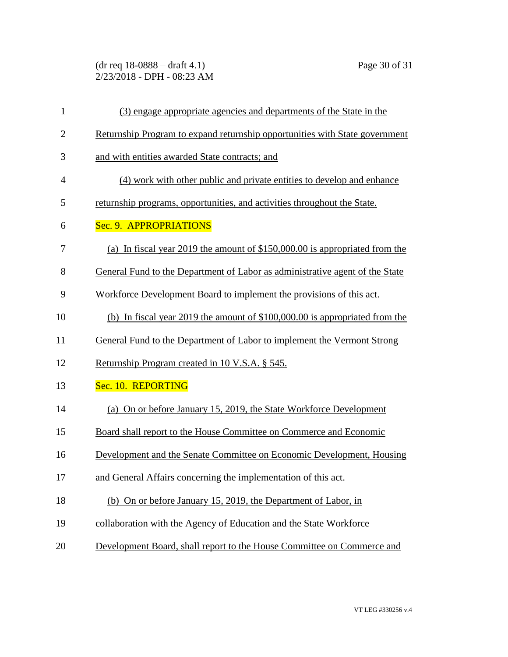(dr req 18-0888 – draft 4.1) Page 30 of 31 2/23/2018 - DPH - 08:23 AM

| $\mathbf{1}$   | (3) engage appropriate agencies and departments of the State in the          |
|----------------|------------------------------------------------------------------------------|
| $\mathbf{2}$   | Returnship Program to expand returnship opportunities with State government  |
| 3              | and with entities awarded State contracts; and                               |
| $\overline{4}$ | (4) work with other public and private entities to develop and enhance       |
| 5              | returnship programs, opportunities, and activities throughout the State.     |
| 6              | Sec. 9. APPROPRIATIONS                                                       |
| 7              | (a) In fiscal year 2019 the amount of $$150,000.00$ is appropriated from the |
| 8              | General Fund to the Department of Labor as administrative agent of the State |
| 9              | Workforce Development Board to implement the provisions of this act.         |
| 10             | (b) In fiscal year 2019 the amount of $$100,000.00$ is appropriated from the |
| 11             | General Fund to the Department of Labor to implement the Vermont Strong      |
| 12             | Returnship Program created in 10 V.S.A. § 545.                               |
| 13             | Sec. 10. REPORTING                                                           |
| 14             | (a) On or before January 15, 2019, the State Workforce Development           |
| 15             | Board shall report to the House Committee on Commerce and Economic           |
| 16             | Development and the Senate Committee on Economic Development, Housing        |
| 17             | and General Affairs concerning the implementation of this act.               |
| 18             | (b) On or before January 15, 2019, the Department of Labor, in               |
| 19             | collaboration with the Agency of Education and the State Workforce           |
| 20             | Development Board, shall report to the House Committee on Commerce and       |